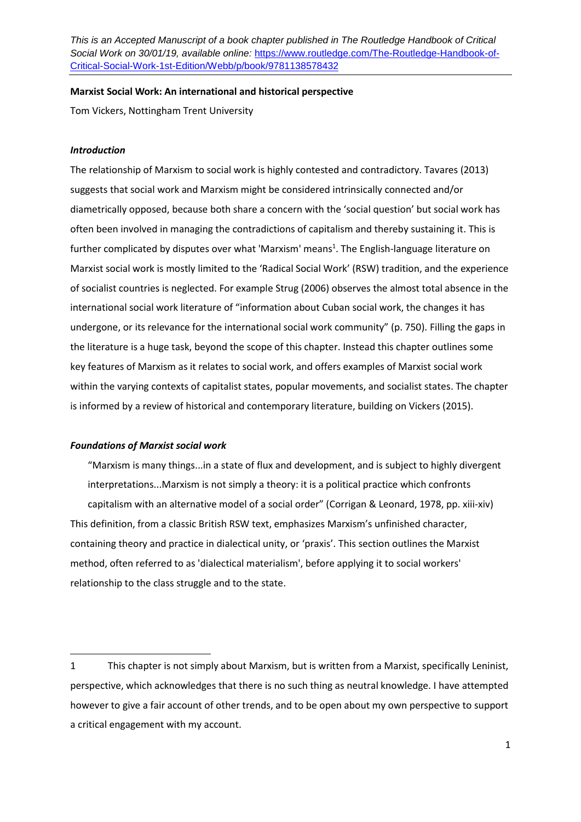# **Marxist Social Work: An international and historical perspective**

Tom Vickers, Nottingham Trent University

# *Introduction*

The relationship of Marxism to social work is highly contested and contradictory. Tavares (2013) suggests that social work and Marxism might be considered intrinsically connected and/or diametrically opposed, because both share a concern with the 'social question' but social work has often been involved in managing the contradictions of capitalism and thereby sustaining it. This is further complicated by disputes over what 'Marxism' means<sup>1</sup>. The English-language literature on Marxist social work is mostly limited to the 'Radical Social Work' (RSW) tradition, and the experience of socialist countries is neglected. For example Strug (2006) observes the almost total absence in the international social work literature of "information about Cuban social work, the changes it has undergone, or its relevance for the international social work community" (p. 750). Filling the gaps in the literature is a huge task, beyond the scope of this chapter. Instead this chapter outlines some key features of Marxism as it relates to social work, and offers examples of Marxist social work within the varying contexts of capitalist states, popular movements, and socialist states. The chapter is informed by a review of historical and contemporary literature, building on Vickers (2015).

# *Foundations of Marxist social work*

"Marxism is many things...in a state of flux and development, and is subject to highly divergent interpretations...Marxism is not simply a theory: it is a political practice which confronts capitalism with an alternative model of a social order" (Corrigan & Leonard, 1978, pp. xiii-xiv) This definition, from a classic British RSW text, emphasizes Marxism's unfinished character, containing theory and practice in dialectical unity, or 'praxis'. This section outlines the Marxist method, often referred to as 'dialectical materialism', before applying it to social workers' relationship to the class struggle and to the state.

 $\overline{a}$ 1 This chapter is not simply about Marxism, but is written from a Marxist, specifically Leninist, perspective, which acknowledges that there is no such thing as neutral knowledge. I have attempted however to give a fair account of other trends, and to be open about my own perspective to support a critical engagement with my account.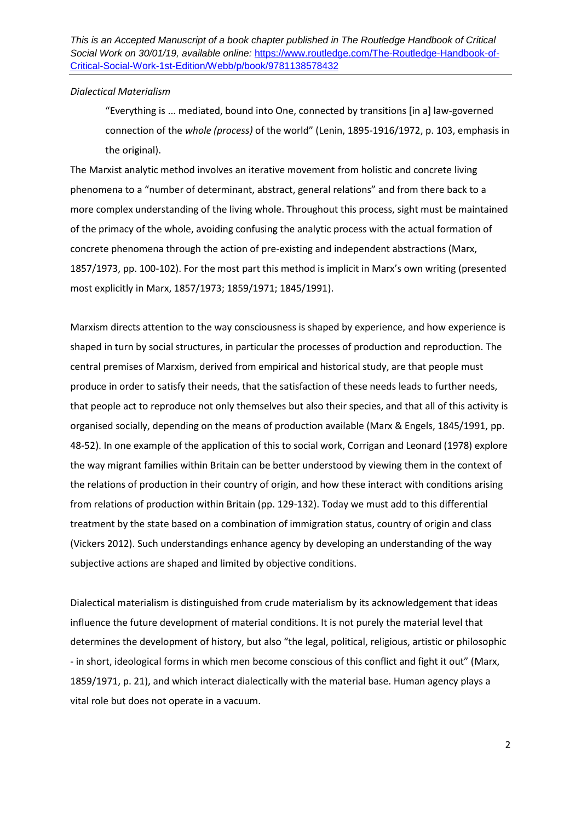# *Dialectical Materialism*

"Everything is ... mediated, bound into One, connected by transitions [in a] law-governed connection of the *whole (process)* of the world" (Lenin, 1895-1916/1972, p. 103, emphasis in the original).

The Marxist analytic method involves an iterative movement from holistic and concrete living phenomena to a "number of determinant, abstract, general relations" and from there back to a more complex understanding of the living whole. Throughout this process, sight must be maintained of the primacy of the whole, avoiding confusing the analytic process with the actual formation of concrete phenomena through the action of pre-existing and independent abstractions (Marx, 1857/1973, pp. 100-102). For the most part this method is implicit in Marx's own writing (presented most explicitly in Marx, 1857/1973; 1859/1971; 1845/1991).

Marxism directs attention to the way consciousness is shaped by experience, and how experience is shaped in turn by social structures, in particular the processes of production and reproduction. The central premises of Marxism, derived from empirical and historical study, are that people must produce in order to satisfy their needs, that the satisfaction of these needs leads to further needs, that people act to reproduce not only themselves but also their species, and that all of this activity is organised socially, depending on the means of production available (Marx & Engels, 1845/1991, pp. 48-52). In one example of the application of this to social work, Corrigan and Leonard (1978) explore the way migrant families within Britain can be better understood by viewing them in the context of the relations of production in their country of origin, and how these interact with conditions arising from relations of production within Britain (pp. 129-132). Today we must add to this differential treatment by the state based on a combination of immigration status, country of origin and class (Vickers 2012). Such understandings enhance agency by developing an understanding of the way subjective actions are shaped and limited by objective conditions.

Dialectical materialism is distinguished from crude materialism by its acknowledgement that ideas influence the future development of material conditions. It is not purely the material level that determines the development of history, but also "the legal, political, religious, artistic or philosophic - in short, ideological forms in which men become conscious of this conflict and fight it out" (Marx, 1859/1971, p. 21), and which interact dialectically with the material base. Human agency plays a vital role but does not operate in a vacuum.

2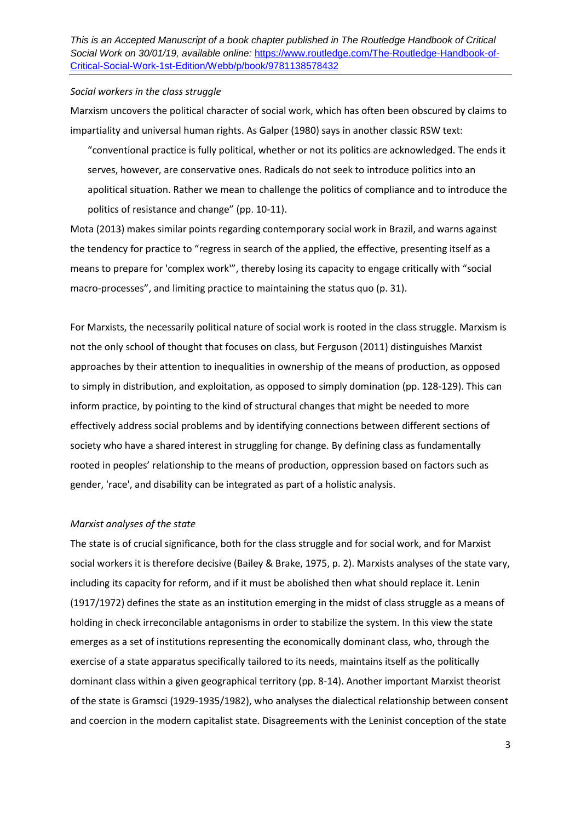### *Social workers in the class struggle*

Marxism uncovers the political character of social work, which has often been obscured by claims to impartiality and universal human rights. As Galper (1980) says in another classic RSW text:

"conventional practice is fully political, whether or not its politics are acknowledged. The ends it serves, however, are conservative ones. Radicals do not seek to introduce politics into an apolitical situation. Rather we mean to challenge the politics of compliance and to introduce the politics of resistance and change" (pp. 10-11).

Mota (2013) makes similar points regarding contemporary social work in Brazil, and warns against the tendency for practice to "regress in search of the applied, the effective, presenting itself as a means to prepare for 'complex work'", thereby losing its capacity to engage critically with "social macro-processes", and limiting practice to maintaining the status quo (p. 31).

For Marxists, the necessarily political nature of social work is rooted in the class struggle. Marxism is not the only school of thought that focuses on class, but Ferguson (2011) distinguishes Marxist approaches by their attention to inequalities in ownership of the means of production, as opposed to simply in distribution, and exploitation, as opposed to simply domination (pp. 128-129). This can inform practice, by pointing to the kind of structural changes that might be needed to more effectively address social problems and by identifying connections between different sections of society who have a shared interest in struggling for change. By defining class as fundamentally rooted in peoples' relationship to the means of production, oppression based on factors such as gender, 'race', and disability can be integrated as part of a holistic analysis.

# *Marxist analyses of the state*

The state is of crucial significance, both for the class struggle and for social work, and for Marxist social workers it is therefore decisive (Bailey & Brake, 1975, p. 2). Marxists analyses of the state vary, including its capacity for reform, and if it must be abolished then what should replace it. Lenin [\(1917/1972\)](#page-12-0) defines the state as an institution emerging in the midst of class struggle as a means of holding in check irreconcilable antagonisms in order to stabilize the system. In this view the state emerges as a set of institutions representing the economically dominant class, who, through the exercise of a state apparatus specifically tailored to its needs, maintains itself as the politically dominant class within a given geographical territory (pp. 8-14). Another important Marxist theorist of the state is Gramsci [\(1929-1935/1982\)](#page-12-0), who analyses the dialectical relationship between consent and coercion in the modern capitalist state. Disagreements with the Leninist conception of the state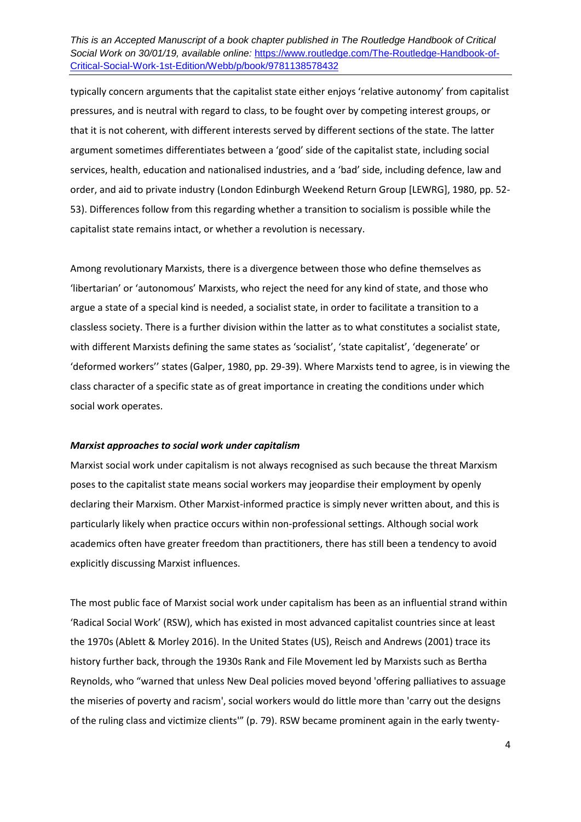typically concern arguments that the capitalist state either enjoys 'relative autonomy' from capitalist pressures, and is neutral with regard to class, to be fought over by competing interest groups, or that it is not coherent, with different interests served by different sections of the state. The latter argument sometimes differentiates between a 'good' side of the capitalist state, including social services, health, education and nationalised industries, and a 'bad' side, including defence, law and order, and aid to private industry (London Edinburgh Weekend Return Group [LEWRG], 1980, pp. 52- 53). Differences follow from this regarding whether a transition to socialism is possible while the capitalist state remains intact, or whether a revolution is necessary.

Among revolutionary Marxists, there is a divergence between those who define themselves as 'libertarian' or 'autonomous' Marxists, who reject the need for any kind of state, and those who argue a state of a special kind is needed, a socialist state, in order to facilitate a transition to a classless society. There is a further division within the latter as to what constitutes a socialist state, with different Marxists defining the same states as 'socialist', 'state capitalist', 'degenerate' or 'deformed workers'' states (Galper, 1980, pp. 29-39). Where Marxists tend to agree, is in viewing the class character of a specific state as of great importance in creating the conditions under which social work operates.

#### *Marxist approaches to social work under capitalism*

Marxist social work under capitalism is not always recognised as such because the threat Marxism poses to the capitalist state means social workers may jeopardise their employment by openly declaring their Marxism. Other Marxist-informed practice is simply never written about, and this is particularly likely when practice occurs within non-professional settings. Although social work academics often have greater freedom than practitioners, there has still been a tendency to avoid explicitly discussing Marxist influences.

The most public face of Marxist social work under capitalism has been as an influential strand within 'Radical Social Work' (RSW), which has existed in most advanced capitalist countries since at least the 1970s (Ablett & Morley 2016). In the United States (US), Reisch and Andrews [\(2001\)](#page-12-0) trace its history further back, through the 1930s Rank and File Movement led by Marxists such as Bertha Reynolds, who "warned that unless New Deal policies moved beyond 'offering palliatives to assuage the miseries of poverty and racism', social workers would do little more than 'carry out the designs of the ruling class and victimize clients'" (p. 79). RSW became prominent again in the early twenty-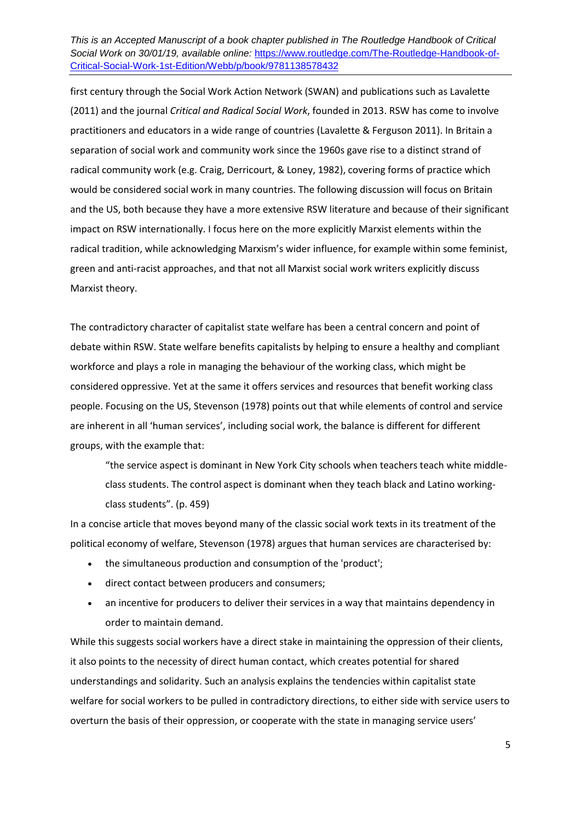first century through the Social Work Action Network (SWAN) and publications such as Lavalette [\(2011\)](#page-12-0) and the journal *Critical and Radical Social Work*, founded in 2013. RSW has come to involve practitioners and educators in a wide range of countries [\(Lavalette & Ferguson 2011\)](#page-12-0). In Britain a separation of social work and community work since the 1960s gave rise to a distinct strand of radical community work (e.g[. Craig, Derricourt, & Loney, 1982\)](#page-12-0), covering forms of practice which would be considered social work in many countries. The following discussion will focus on Britain and the US, both because they have a more extensive RSW literature and because of their significant impact on RSW internationally. I focus here on the more explicitly Marxist elements within the radical tradition, while acknowledging Marxism's wider influence, for example within some feminist, green and anti-racist approaches, and that not all Marxist social work writers explicitly discuss Marxist theory.

The contradictory character of capitalist state welfare has been a central concern and point of debate within RSW. State welfare benefits capitalists by helping to ensure a healthy and compliant workforce and plays a role in managing the behaviour of the working class, which might be considered oppressive. Yet at the same it offers services and resources that benefit working class people. Focusing on the US, Stevenson [\(1978\)](#page-12-0) points out that while elements of control and service are inherent in all 'human services', including social work, the balance is different for different groups, with the example that:

"the service aspect is dominant in New York City schools when teachers teach white middleclass students. The control aspect is dominant when they teach black and Latino workingclass students". (p. 459)

In a concise article that moves beyond many of the classic social work texts in its treatment of the political economy of welfare, Stevenson (1978) argues that human services are characterised by:

- the simultaneous production and consumption of the 'product';
- direct contact between producers and consumers;
- an incentive for producers to deliver their services in a way that maintains dependency in order to maintain demand.

While this suggests social workers have a direct stake in maintaining the oppression of their clients, it also points to the necessity of direct human contact, which creates potential for shared understandings and solidarity. Such an analysis explains the tendencies within capitalist state welfare for social workers to be pulled in contradictory directions, to either side with service users to overturn the basis of their oppression, or cooperate with the state in managing service users'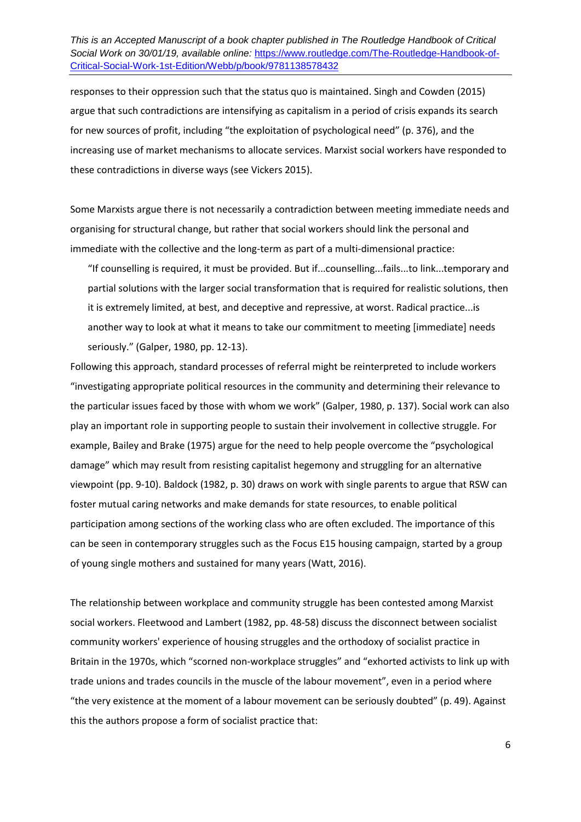responses to their oppression such that the status quo is maintained. Singh and Cowden (2015) argue that such contradictions are intensifying as capitalism in a period of crisis expands its search for new sources of profit, including "the exploitation of psychological need" (p. 376), and the increasing use of market mechanisms to allocate services. Marxist social workers have responded to these contradictions in diverse ways (see Vickers 2015).

Some Marxists argue there is not necessarily a contradiction between meeting immediate needs and organising for structural change, but rather that social workers should link the personal and immediate with the collective and the long-term as part of a multi-dimensional practice:

"If counselling is required, it must be provided. But if...counselling...fails...to link...temporary and partial solutions with the larger social transformation that is required for realistic solutions, then it is extremely limited, at best, and deceptive and repressive, at worst. Radical practice...is another way to look at what it means to take our commitment to meeting [immediate] needs seriously." (Galper, 1980, pp. 12-13).

Following this approach, standard processes of referral might be reinterpreted to include workers "investigating appropriate political resources in the community and determining their relevance to the particular issues faced by those with whom we work" (Galper, 1980, p. 137). Social work can also play an important role in supporting people to sustain their involvement in collective struggle. For example, Bailey and Brake (1975) argue for the need to help people overcome the "psychological damage" which may result from resisting capitalist hegemony and struggling for an alternative viewpoint (pp. 9-10). Baldock (1982, p. 30) draws on work with single parents to argue that RSW can foster mutual caring networks and make demands for state resources, to enable political participation among sections of the working class who are often excluded. The importance of this can be seen in contemporary struggles such as the Focus E15 housing campaign, started by a group of young single mothers and sustained for many years (Watt, 2016).

The relationship between workplace and community struggle has been contested among Marxist social workers. Fleetwood and Lambert (1982, pp. 48-58) discuss the disconnect between socialist community workers' experience of housing struggles and the orthodoxy of socialist practice in Britain in the 1970s, which "scorned non-workplace struggles" and "exhorted activists to link up with trade unions and trades councils in the muscle of the labour movement", even in a period where "the very existence at the moment of a labour movement can be seriously doubted" (p. 49). Against this the authors propose a form of socialist practice that: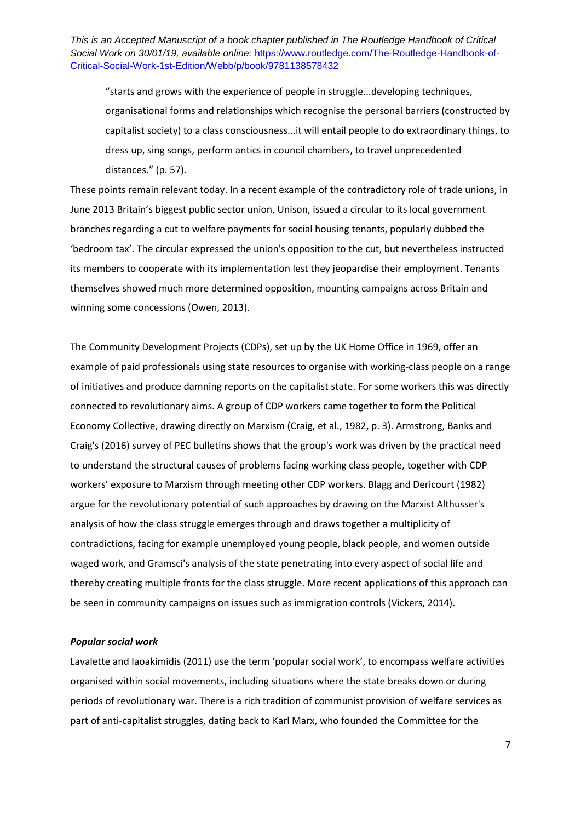"starts and grows with the experience of people in struggle...developing techniques, organisational forms and relationships which recognise the personal barriers (constructed by capitalist society) to a class consciousness...it will entail people to do extraordinary things, to dress up, sing songs, perform antics in council chambers, to travel unprecedented distances." (p. 57).

These points remain relevant today. In a recent example of the contradictory role of trade unions, in June 2013 Britain's biggest public sector union, Unison, issued a circular to its local government branches regarding a cut to welfare payments for social housing tenants, popularly dubbed the 'bedroom tax'. The circular expressed the union's opposition to the cut, but nevertheless instructed its members to cooperate with its implementation lest they jeopardise their employment. Tenants themselves showed much more determined opposition, mounting campaigns across Britain and winning some concessions (Owen, 2013).

The Community Development Projects (CDPs), set up by the UK Home Office in 1969, offer an example of paid professionals using state resources to organise with working-class people on a range of initiatives and produce damning reports on the capitalist state. For some workers this was directly connected to revolutionary aims. A group of CDP workers came together to form the Political Economy Collective, drawing directly on Marxism (Craig, et al., 1982, p. 3). Armstrong, Banks and Craig's (2016) survey of PEC bulletins shows that the group's work was driven by the practical need to understand the structural causes of problems facing working class people, together with CDP workers' exposure to Marxism through meeting other CDP workers. Blagg and Dericourt (1982) argue for the revolutionary potential of such approaches by drawing on the Marxist Althusser's analysis of how the class struggle emerges through and draws together a multiplicity of contradictions, facing for example unemployed young people, black people, and women outside waged work, and Gramsci's analysis of the state penetrating into every aspect of social life and thereby creating multiple fronts for the class struggle. More recent applications of this approach can be seen in community campaigns on issues such as immigration controls (Vickers, 2014).

### *Popular social work*

Lavalette and Iaoakimidis (2011) use the term 'popular social work', to encompass welfare activities organised within social movements, including situations where the state breaks down or during periods of revolutionary war. There is a rich tradition of communist provision of welfare services as part of anti-capitalist struggles, dating back to Karl Marx, who founded the Committee for the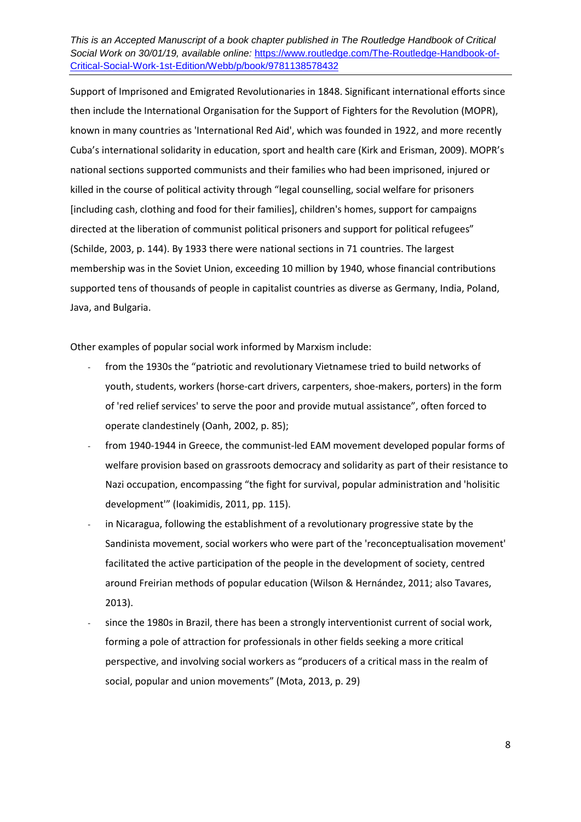Support of Imprisoned and Emigrated Revolutionaries in 1848. Significant international efforts since then include the International Organisation for the Support of Fighters for the Revolution (MOPR), known in many countries as 'International Red Aid', which was founded in 1922, and more recently Cuba's international solidarity in education, sport and health care [\(Kirk and Erisman, 2009](#page-12-0)). MOPR's national sections supported communists and their families who had been imprisoned, injured or killed in the course of political activity through "legal counselling, social welfare for prisoners [including cash, clothing and food for their families], children's homes, support for campaigns directed at the liberation of communist political prisoners and support for political refugees" (Schilde, 2003, p. 144). By 1933 there were national sections in 71 countries. The largest membership was in the Soviet Union, exceeding 10 million by 1940, whose financial contributions supported tens of thousands of people in capitalist countries as diverse as Germany, India, Poland, Java, and Bulgaria.

Other examples of popular social work informed by Marxism include:

- from the 1930s the "patriotic and revolutionary Vietnamese tried to build networks of youth, students, workers (horse-cart drivers, carpenters, shoe-makers, porters) in the form of 'red relief services' to serve the poor and provide mutual assistance", often forced to operate clandestinely (Oanh, 2002, p. 85);
- from 1940-1944 in Greece, the communist-led EAM movement developed popular forms of welfare provision based on grassroots democracy and solidarity as part of their resistance to Nazi occupation, encompassing "the fight for survival, popular administration and 'holisitic development'" (Ioakimidis, 2011, pp. 115).
- in Nicaragua, following the establishment of a revolutionary progressive state by the Sandinista movement, social workers who were part of the 'reconceptualisation movement' facilitated the active participation of the people in the development of society, centred around Freirian methods of popular education (Wilson & Hernández, 2011; also Tavares, 2013).
- since the 1980s in Brazil, there has been a strongly interventionist current of social work, forming a pole of attraction for professionals in other fields seeking a more critical perspective, and involving social workers as "producers of a critical mass in the realm of social, popular and union movements" (Mota, 2013, p. 29)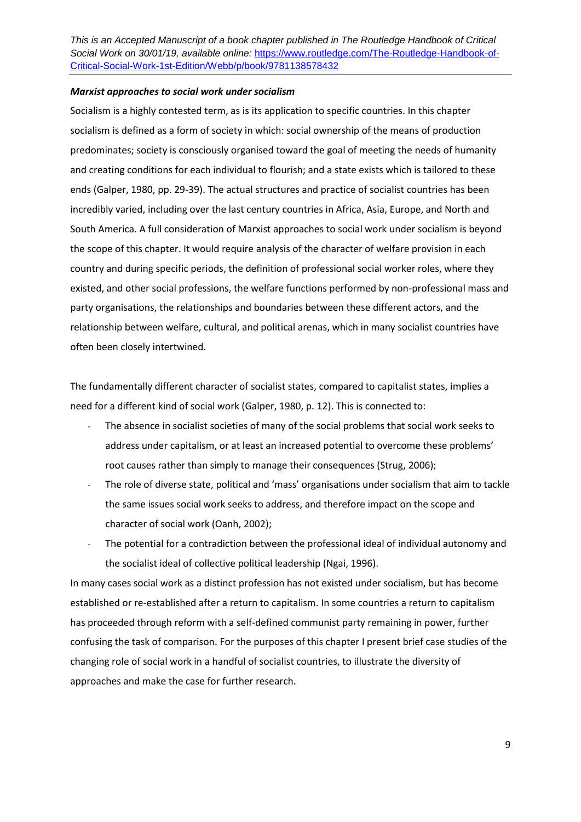# *Marxist approaches to social work under socialism*

Socialism is a highly contested term, as is its application to specific countries. In this chapter socialism is defined as a form of society in which: social ownership of the means of production predominates; society is consciously organised toward the goal of meeting the needs of humanity and creating conditions for each individual to flourish; and a state exists which is tailored to these ends (Galper, 1980, pp. 29-39). The actual structures and practice of socialist countries has been incredibly varied, including over the last century countries in Africa, Asia, Europe, and North and South America. A full consideration of Marxist approaches to social work under socialism is beyond the scope of this chapter. It would require analysis of the character of welfare provision in each country and during specific periods, the definition of professional social worker roles, where they existed, and other social professions, the welfare functions performed by non-professional mass and party organisations, the relationships and boundaries between these different actors, and the relationship between welfare, cultural, and political arenas, which in many socialist countries have often been closely intertwined.

The fundamentally different character of socialist states, compared to capitalist states, implies a need for a different kind of social work (Galper, 1980, p. 12). This is connected to:

- The absence in socialist societies of many of the social problems that social work seeks to address under capitalism, or at least an increased potential to overcome these problems' root causes rather than simply to manage their consequences (Strug, 2006);
- The role of diverse state, political and 'mass' organisations under socialism that aim to tackle the same issues social work seeks to address, and therefore impact on the scope and character of social work (Oanh, 2002);
- The potential for a contradiction between the professional ideal of individual autonomy and the socialist ideal of collective political leadership (Ngai, 1996).

In many cases social work as a distinct profession has not existed under socialism, but has become established or re-established after a return to capitalism. In some countries a return to capitalism has proceeded through reform with a self-defined communist party remaining in power, further confusing the task of comparison. For the purposes of this chapter I present brief case studies of the changing role of social work in a handful of socialist countries, to illustrate the diversity of approaches and make the case for further research.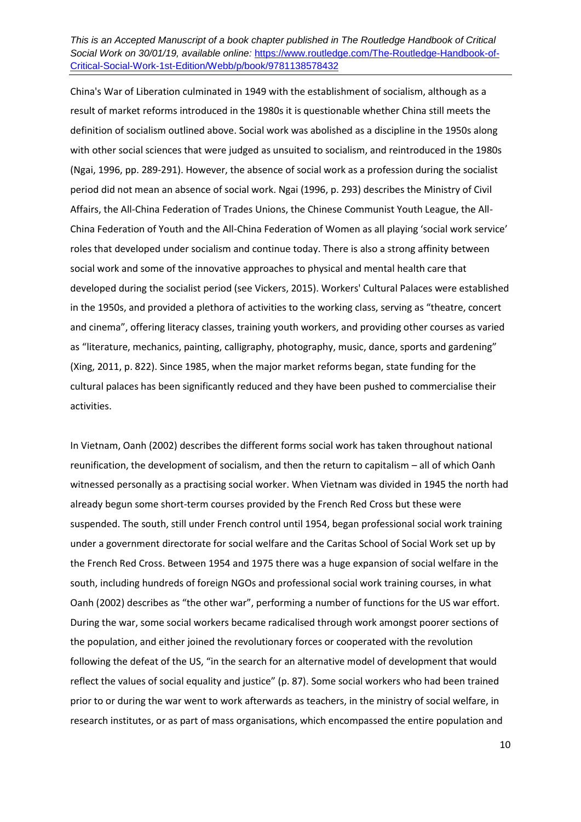China's War of Liberation culminated in 1949 with the establishment of socialism, although as a result of market reforms introduced in the 1980s it is questionable whether China still meets the definition of socialism outlined above. Social work was abolished as a discipline in the 1950s along with other social sciences that were judged as unsuited to socialism, and reintroduced in the 1980s (Ngai, 1996, pp. 289-291). However, the absence of social work as a profession during the socialist period did not mean an absence of social work. Ngai (1996, p. 293) describes the Ministry of Civil Affairs, the All-China Federation of Trades Unions, the Chinese Communist Youth League, the All-China Federation of Youth and the All-China Federation of Women as all playing 'social work service' roles that developed under socialism and continue today. There is also a strong affinity between social work and some of the innovative approaches to physical and mental health care that developed during the socialist period (see Vickers, 2015). Workers' Cultural Palaces were established in the 1950s, and provided a plethora of activities to the working class, serving as "theatre, concert and cinema", offering literacy classes, training youth workers, and providing other courses as varied as "literature, mechanics, painting, calligraphy, photography, music, dance, sports and gardening" (Xing, 2011, p. 822). Since 1985, when the major market reforms began, state funding for the cultural palaces has been significantly reduced and they have been pushed to commercialise their activities.

In Vietnam, Oanh [\(2002\)](#page-12-0) describes the different forms social work has taken throughout national reunification, the development of socialism, and then the return to capitalism – all of which Oanh witnessed personally as a practising social worker. When Vietnam was divided in 1945 the north had already begun some short-term courses provided by the French Red Cross but these were suspended. The south, still under French control until 1954, began professional social work training under a government directorate for social welfare and the Caritas School of Social Work set up by the French Red Cross. Between 1954 and 1975 there was a huge expansion of social welfare in the south, including hundreds of foreign NGOs and professional social work training courses, in what Oanh [\(2002](#page-12-0)) describes as "the other war", performing a number of functions for the US war effort. During the war, some social workers became radicalised through work amongst poorer sections of the population, and either joined the revolutionary forces or cooperated with the revolution following the defeat of the US, "in the search for an alternative model of development that would reflect the values of social equality and justice" (p. 87). Some social workers who had been trained prior to or during the war went to work afterwards as teachers, in the ministry of social welfare, in research institutes, or as part of mass organisations, which encompassed the entire population and

10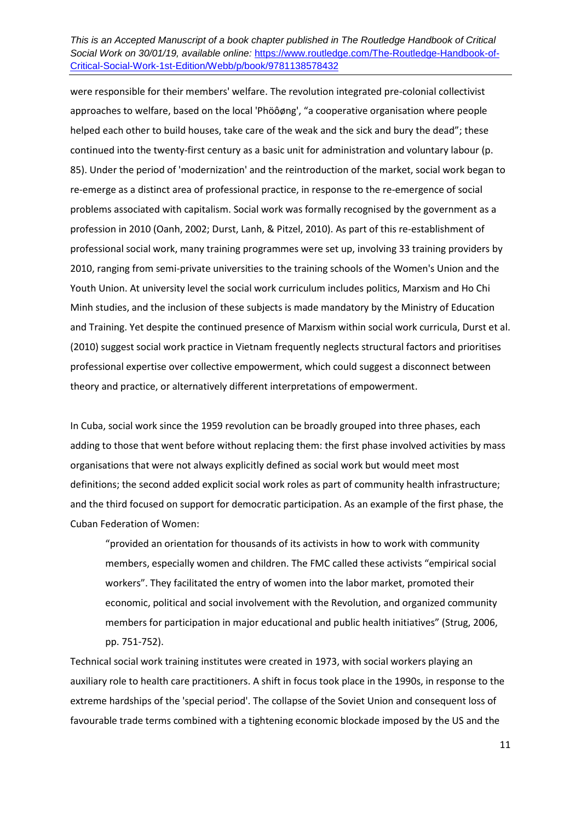were responsible for their members' welfare. The revolution integrated pre-colonial collectivist approaches to welfare, based on the local 'Phöôøng', "a cooperative organisation where people helped each other to build houses, take care of the weak and the sick and bury the dead"; these continued into the twenty-first century as a basic unit for administration and voluntary labour (p. 85). Under the period of 'modernization' and the reintroduction of the market, social work began to re-emerge as a distinct area of professional practice, in response to the re-emergence of social problems associated with capitalism. Social work was formally recognised by the government as a profession in 2010 (Oanh, 2002; Durst, Lanh, & Pitzel, 2010). As part of this re-establishment of professional social work, many training programmes were set up, involving 33 training providers by 2010, ranging from semi-private universities to the training schools of the Women's Union and the Youth Union. At university level the social work curriculum includes politics, Marxism and Ho Chi Minh studies, and the inclusion of these subjects is made mandatory by the Ministry of Education and Training. Yet despite the continued presence of Marxism within social work curricula, Durst et al. (2010) suggest social work practice in Vietnam frequently neglects structural factors and prioritises professional expertise over collective empowerment, which could suggest a disconnect between theory and practice, or alternatively different interpretations of empowerment.

In Cuba, social work since the 1959 revolution can be broadly grouped into three phases, each adding to those that went before without replacing them: the first phase involved activities by mass organisations that were not always explicitly defined as social work but would meet most definitions; the second added explicit social work roles as part of community health infrastructure; and the third focused on support for democratic participation. As an example of the first phase, the Cuban Federation of Women:

"provided an orientation for thousands of its activists in how to work with community members, especially women and children. The FMC called these activists "empirical social workers". They facilitated the entry of women into the labor market, promoted their economic, political and social involvement with the Revolution, and organized community members for participation in major educational and public health initiatives" (Strug, 2006, pp. 751-752).

Technical social work training institutes were created in 1973, with social workers playing an auxiliary role to health care practitioners. A shift in focus took place in the 1990s, in response to the extreme hardships of the 'special period'. The collapse of the Soviet Union and consequent loss of favourable trade terms combined with a tightening economic blockade imposed by the US and the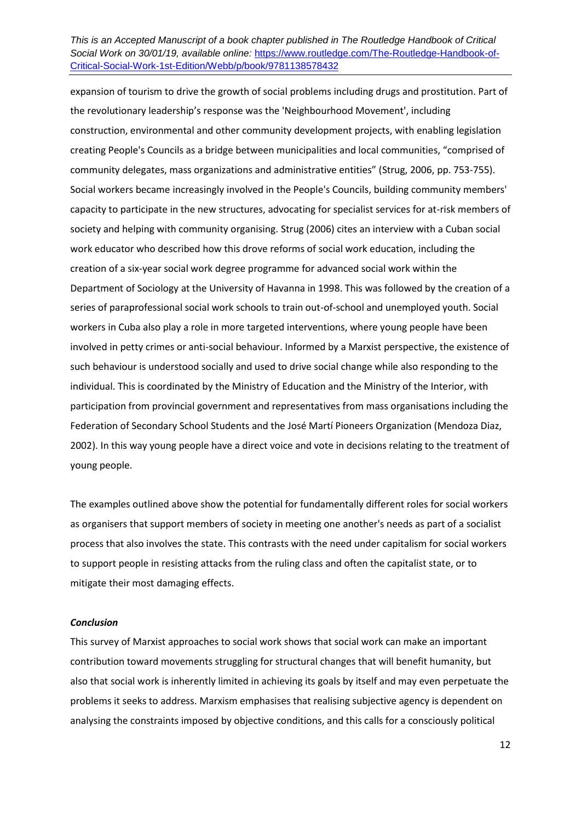expansion of tourism to drive the growth of social problems including drugs and prostitution. Part of the revolutionary leadership's response was the 'Neighbourhood Movement', including construction, environmental and other community development projects, with enabling legislation creating People's Councils as a bridge between municipalities and local communities, "comprised of community delegates, mass organizations and administrative entities" (Strug, 2006, pp. 753-755). Social workers became increasingly involved in the People's Councils, building community members' capacity to participate in the new structures, advocating for specialist services for at-risk members of society and helping with community organising. Strug (2006) cites an interview with a Cuban social work educator who described how this drove reforms of social work education, including the creation of a six-year social work degree programme for advanced social work within the Department of Sociology at the University of Havanna in 1998. This was followed by the creation of a series of paraprofessional social work schools to train out-of-school and unemployed youth. Social workers in Cuba also play a role in more targeted interventions, where young people have been involved in petty crimes or anti-social behaviour. Informed by a Marxist perspective, the existence of such behaviour is understood socially and used to drive social change while also responding to the individual. This is coordinated by the Ministry of Education and the Ministry of the Interior, with participation from provincial government and representatives from mass organisations including the Federation of Secondary School Students and the José Martí Pioneers Organization (Mendoza Diaz, 2002). In this way young people have a direct voice and vote in decisions relating to the treatment of young people.

The examples outlined above show the potential for fundamentally different roles for social workers as organisers that support members of society in meeting one another's needs as part of a socialist process that also involves the state. This contrasts with the need under capitalism for social workers to support people in resisting attacks from the ruling class and often the capitalist state, or to mitigate their most damaging effects.

### *Conclusion*

This survey of Marxist approaches to social work shows that social work can make an important contribution toward movements struggling for structural changes that will benefit humanity, but also that social work is inherently limited in achieving its goals by itself and may even perpetuate the problems it seeks to address. Marxism emphasises that realising subjective agency is dependent on analysing the constraints imposed by objective conditions, and this calls for a consciously political

12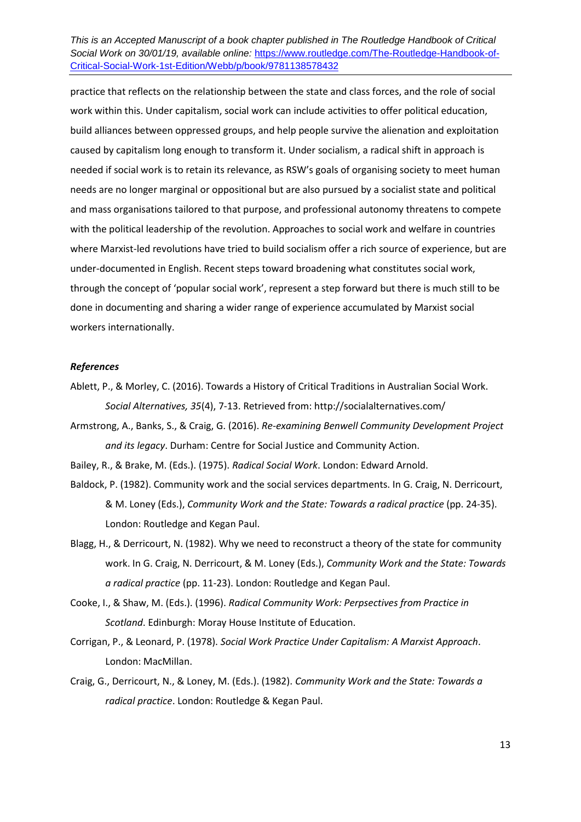practice that reflects on the relationship between the state and class forces, and the role of social work within this. Under capitalism, social work can include activities to offer political education, build alliances between oppressed groups, and help people survive the alienation and exploitation caused by capitalism long enough to transform it. Under socialism, a radical shift in approach is needed if social work is to retain its relevance, as RSW's goals of organising society to meet human needs are no longer marginal or oppositional but are also pursued by a socialist state and political and mass organisations tailored to that purpose, and professional autonomy threatens to compete with the political leadership of the revolution. Approaches to social work and welfare in countries where Marxist-led revolutions have tried to build socialism offer a rich source of experience, but are under-documented in English. Recent steps toward broadening what constitutes social work, through the concept of 'popular social work', represent a step forward but there is much still to be done in documenting and sharing a wider range of experience accumulated by Marxist social workers internationally.

# *References*

- Ablett, P., & Morley, C. (2016). Towards a History of Critical Traditions in Australian Social Work. *Social Alternatives, 35*(4), 7-13. Retrieved from: http://socialalternatives.com/
- Armstrong, A., Banks, S., & Craig, G. (2016). *Re-examining Benwell Community Development Project and its legacy*. Durham: Centre for Social Justice and Community Action.

Bailey, R., & Brake, M. (Eds.). (1975). *Radical Social Work*. London: Edward Arnold.

- Baldock, P. (1982). Community work and the social services departments. In G. Craig, N. Derricourt, & M. Loney (Eds.), *Community Work and the State: Towards a radical practice* (pp. 24-35). London: Routledge and Kegan Paul.
- Blagg, H., & Derricourt, N. (1982). Why we need to reconstruct a theory of the state for community work. In G. Craig, N. Derricourt, & M. Loney (Eds.), *Community Work and the State: Towards a radical practice* (pp. 11-23). London: Routledge and Kegan Paul.
- <span id="page-12-0"></span>Cooke, I., & Shaw, M. (Eds.). (1996). *Radical Community Work: Perpsectives from Practice in Scotland*. Edinburgh: Moray House Institute of Education.
- Corrigan, P., & Leonard, P. (1978). *Social Work Practice Under Capitalism: A Marxist Approach*. London: MacMillan.
- Craig, G., Derricourt, N., & Loney, M. (Eds.). (1982). *Community Work and the State: Towards a radical practice*. London: Routledge & Kegan Paul.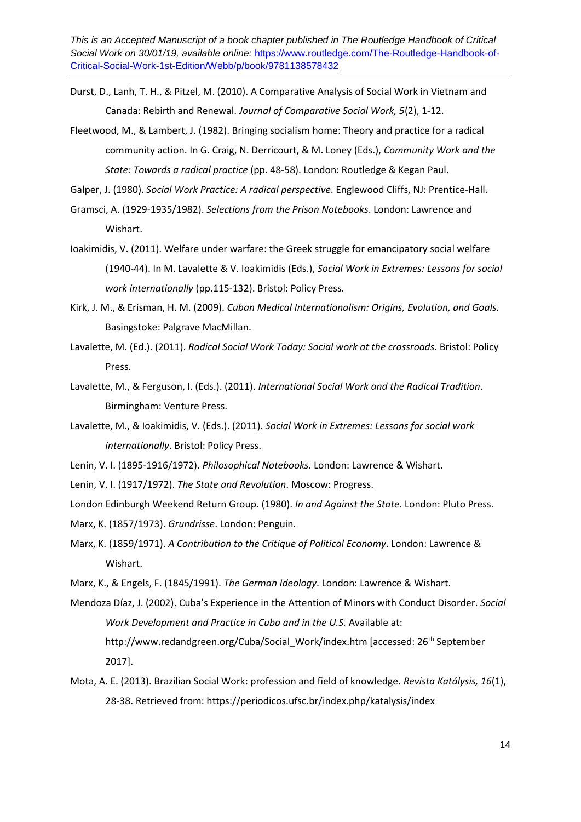Durst, D., Lanh, T. H., & Pitzel, M. (2010). A Comparative Analysis of Social Work in Vietnam and Canada: Rebirth and Renewal. *Journal of Comparative Social Work, 5*(2), 1-12.

Fleetwood, M., & Lambert, J. (1982). Bringing socialism home: Theory and practice for a radical community action. In G. Craig, N. Derricourt, & M. Loney (Eds.), *Community Work and the State: Towards a radical practice* (pp. 48-58). London: Routledge & Kegan Paul.

Galper, J. (1980). *Social Work Practice: A radical perspective*. Englewood Cliffs, NJ: Prentice-Hall.

- Gramsci, A. (1929-1935/1982). *Selections from the Prison Notebooks*. London: Lawrence and Wishart.
- Ioakimidis, V. (2011). Welfare under warfare: the Greek struggle for emancipatory social welfare (1940-44). In M. Lavalette & V. Ioakimidis (Eds.), *Social Work in Extremes: Lessons for social work internationally* (pp.115-132). Bristol: Policy Press.
- Kirk, J. M., & Erisman, H. M. (2009). *Cuban Medical Internationalism: Origins, Evolution, and Goals.*  Basingstoke: Palgrave MacMillan.
- Lavalette, M. (Ed.). (2011). *Radical Social Work Today: Social work at the crossroads*. Bristol: Policy Press.
- Lavalette, M., & Ferguson, I. (Eds.). (2011). *International Social Work and the Radical Tradition*. Birmingham: Venture Press.
- Lavalette, M., & Ioakimidis, V. (Eds.). (2011). *Social Work in Extremes: Lessons for social work internationally*. Bristol: Policy Press.
- Lenin, V. I. (1895-1916/1972). *Philosophical Notebooks*. London: Lawrence & Wishart.
- Lenin, V. I. (1917/1972). *The State and Revolution*. Moscow: Progress.

London Edinburgh Weekend Return Group. (1980). *In and Against the State*. London: Pluto Press.

Marx, K. (1857/1973). *Grundrisse*. London: Penguin.

- Marx, K. (1859/1971). *A Contribution to the Critique of Political Economy*. London: Lawrence & Wishart.
- Marx, K., & Engels, F. (1845/1991). *The German Ideology*. London: Lawrence & Wishart.
- Mendoza Díaz, J. (2002). Cuba's Experience in the Attention of Minors with Conduct Disorder. *Social Work Development and Practice in Cuba and in the U.S.* Available at: http://www.redandgreen.org/Cuba/Social\_Work/index.htm [accessed: 26<sup>th</sup> September 2017].
- Mota, A. E. (2013). Brazilian Social Work: profession and field of knowledge. *Revista Katálysis, 16*(1), 28-38. Retrieved from: https://periodicos.ufsc.br/index.php/katalysis/index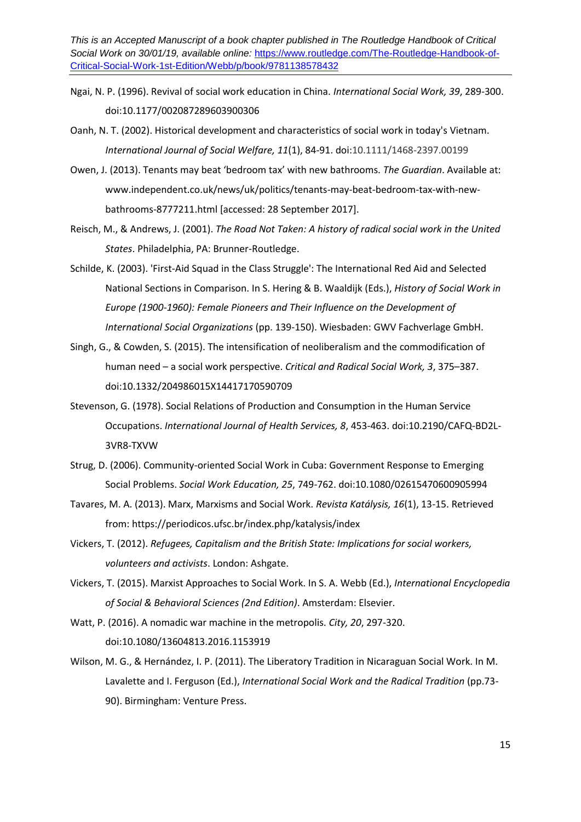- Ngai, N. P. (1996). Revival of social work education in China. *International Social Work, 39*, 289-300. doi:10.1177/002087289603900306
- Oanh, N. T. (2002). Historical development and characteristics of social work in today's Vietnam. *International Journal of Social Welfare, 11*(1), 84-91. doi:10.1111/1468-2397.00199
- Owen, J. (2013). Tenants may beat 'bedroom tax' with new bathrooms. *The Guardian*. Available at: www.independent.co.uk/news/uk/politics/tenants-may-beat-bedroom-tax-with-newbathrooms-8777211.html [accessed: 28 September 2017].
- Reisch, M., & Andrews, J. (2001). *The Road Not Taken: A history of radical social work in the United States*. Philadelphia, PA: Brunner-Routledge.
- Schilde, K. (2003). 'First-Aid Squad in the Class Struggle': The International Red Aid and Selected National Sections in Comparison. In S. Hering & B. Waaldijk (Eds.), *History of Social Work in Europe (1900-1960): Female Pioneers and Their Influence on the Development of International Social Organizations* (pp. 139-150). Wiesbaden: GWV Fachverlage GmbH.
- Singh, G., & Cowden, S. (2015). The intensification of neoliberalism and the commodification of human need – a social work perspective. *Critical and Radical Social Work, 3*, 375–387. doi:10.1332/204986015X14417170590709
- Stevenson, G. (1978). Social Relations of Production and Consumption in the Human Service Occupations. *International Journal of Health Services, 8*, 453-463. doi:10.2190/CAFQ-BD2L-3VR8-TXVW
- Strug, D. (2006). Community-oriented Social Work in Cuba: Government Response to Emerging Social Problems. *Social Work Education, 25*, 749-762. doi:10.1080/02615470600905994
- Tavares, M. A. (2013). Marx, Marxisms and Social Work. *Revista Katálysis, 16*(1), 13-15. Retrieved from: https://periodicos.ufsc.br/index.php/katalysis/index
- Vickers, T. (2012). *Refugees, Capitalism and the British State: Implications for social workers, volunteers and activists*. London: Ashgate.
- Vickers, T. (2015). Marxist Approaches to Social Work. In S. A. Webb (Ed.), *International Encyclopedia of Social & Behavioral Sciences (2nd Edition)*. Amsterdam: Elsevier.
- Watt, P. (2016). A nomadic war machine in the metropolis. *City, 20*, 297-320. doi:10.1080/13604813.2016.1153919
- Wilson, M. G., & Hernández, I. P. (2011). The Liberatory Tradition in Nicaraguan Social Work. In M. Lavalette and I. Ferguson (Ed.), *International Social Work and the Radical Tradition* (pp.73- 90). Birmingham: Venture Press.